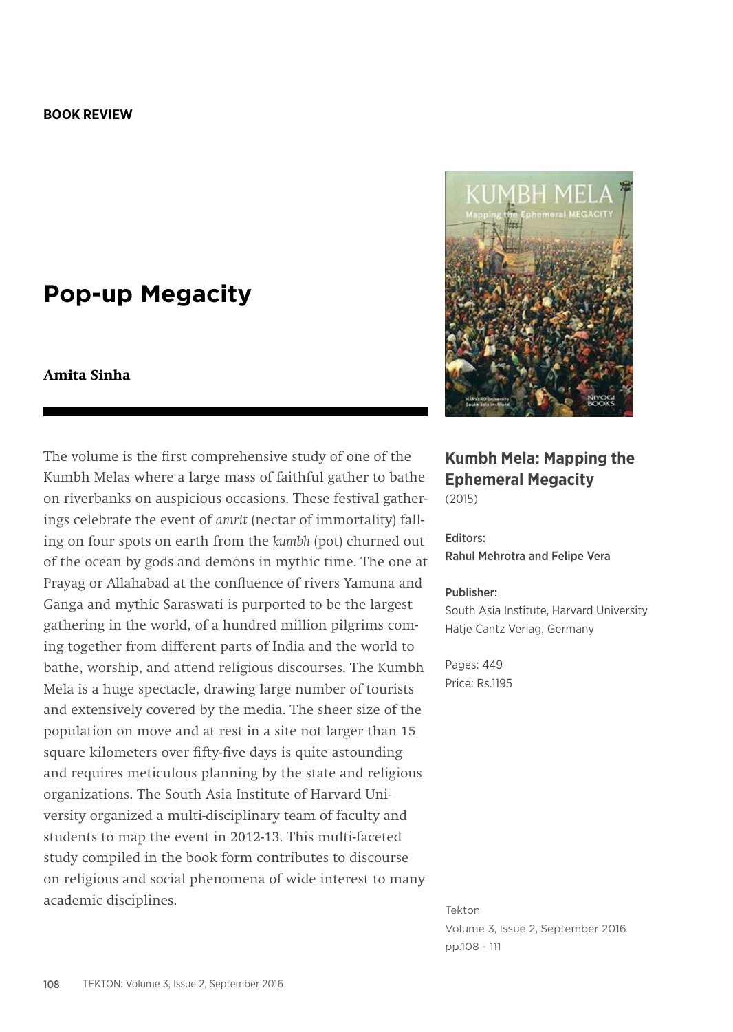## **Pop-up Megacity**

## **Amita Sinha**

The volume is the first comprehensive study of one of the Kumbh Melas where a large mass of faithful gather to bathe on riverbanks on auspicious occasions. These festival gatherings celebrate the event of *amrit* (nectar of immortality) falling on four spots on earth from the *kumbh* (pot) churned out of the ocean by gods and demons in mythic time. The one at Prayag or Allahabad at the confluence of rivers Yamuna and Ganga and mythic Saraswati is purported to be the largest gathering in the world, of a hundred million pilgrims coming together from different parts of India and the world to bathe, worship, and attend religious discourses. The Kumbh Mela is a huge spectacle, drawing large number of tourists and extensively covered by the media. The sheer size of the population on move and at rest in a site not larger than 15 square kilometers over fifty-five days is quite astounding and requires meticulous planning by the state and religious organizations. The South Asia Institute of Harvard University organized a multi-disciplinary team of faculty and students to map the event in 2012-13. This multi-faceted study compiled in the book form contributes to discourse on religious and social phenomena of wide interest to many academic disciplines.



## **Kumbh Mela: Mapping the Ephemeral Megacity** (2015)

Editors: Rahul Mehrotra and Felipe Vera

## Publisher:

South Asia Institute, Harvard University Hatje Cantz Verlag, Germany

Pages: 449 Price: Rs.1195

Tekton Volume 3, Issue 2, September 2016 pp.108 - 111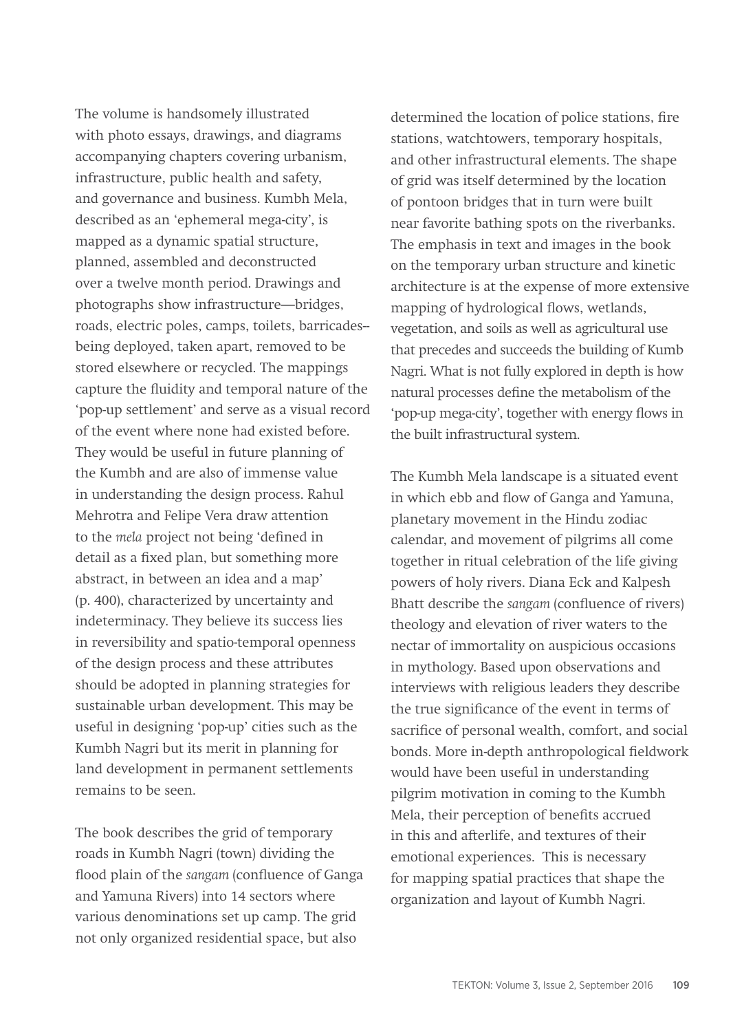The volume is handsomely illustrated with photo essays, drawings, and diagrams accompanying chapters covering urbanism, infrastructure, public health and safety, and governance and business. Kumbh Mela, described as an 'ephemeral mega-city', is mapped as a dynamic spatial structure, planned, assembled and deconstructed over a twelve month period. Drawings and photographs show infrastructure—bridges, roads, electric poles, camps, toilets, barricades- being deployed, taken apart, removed to be stored elsewhere or recycled. The mappings capture the fluidity and temporal nature of the 'pop-up settlement' and serve as a visual record of the event where none had existed before. They would be useful in future planning of the Kumbh and are also of immense value in understanding the design process. Rahul Mehrotra and Felipe Vera draw attention to the *mela* project not being 'defined in detail as a fixed plan, but something more abstract, in between an idea and a map' (p. 400), characterized by uncertainty and indeterminacy. They believe its success lies in reversibility and spatio-temporal openness of the design process and these attributes should be adopted in planning strategies for sustainable urban development. This may be useful in designing 'pop-up' cities such as the Kumbh Nagri but its merit in planning for land development in permanent settlements remains to be seen.

The book describes the grid of temporary roads in Kumbh Nagri (town) dividing the flood plain of the *sangam* (confluence of Ganga and Yamuna Rivers) into 14 sectors where various denominations set up camp. The grid not only organized residential space, but also

determined the location of police stations, fire stations, watchtowers, temporary hospitals, and other infrastructural elements. The shape of grid was itself determined by the location of pontoon bridges that in turn were built near favorite bathing spots on the riverbanks. The emphasis in text and images in the book on the temporary urban structure and kinetic architecture is at the expense of more extensive mapping of hydrological flows, wetlands, vegetation, and soils as well as agricultural use that precedes and succeeds the building of Kumb Nagri. What is not fully explored in depth is how natural processes define the metabolism of the 'pop-up mega-city', together with energy flows in the built infrastructural system.

The Kumbh Mela landscape is a situated event in which ebb and flow of Ganga and Yamuna, planetary movement in the Hindu zodiac calendar, and movement of pilgrims all come together in ritual celebration of the life giving powers of holy rivers. Diana Eck and Kalpesh Bhatt describe the *sangam* (confluence of rivers) theology and elevation of river waters to the nectar of immortality on auspicious occasions in mythology. Based upon observations and interviews with religious leaders they describe the true significance of the event in terms of sacrifice of personal wealth, comfort, and social bonds. More in-depth anthropological fieldwork would have been useful in understanding pilgrim motivation in coming to the Kumbh Mela, their perception of benefits accrued in this and afterlife, and textures of their emotional experiences. This is necessary for mapping spatial practices that shape the organization and layout of Kumbh Nagri.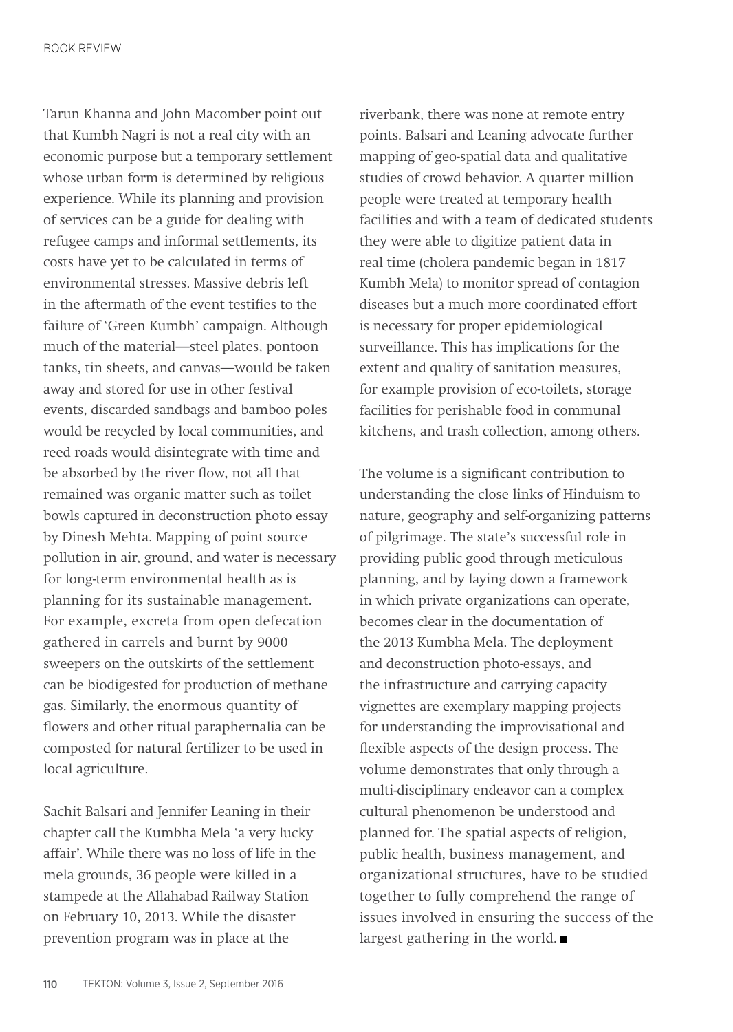Tarun Khanna and John Macomber point out that Kumbh Nagri is not a real city with an economic purpose but a temporary settlement whose urban form is determined by religious experience. While its planning and provision of services can be a guide for dealing with refugee camps and informal settlements, its costs have yet to be calculated in terms of environmental stresses. Massive debris left in the aftermath of the event testifies to the failure of 'Green Kumbh' campaign. Although much of the material—steel plates, pontoon tanks, tin sheets, and canvas—would be taken away and stored for use in other festival events, discarded sandbags and bamboo poles would be recycled by local communities, and reed roads would disintegrate with time and be absorbed by the river flow, not all that remained was organic matter such as toilet bowls captured in deconstruction photo essay by Dinesh Mehta. Mapping of point source pollution in air, ground, and water is necessary for long-term environmental health as is planning for its sustainable management. For example, excreta from open defecation gathered in carrels and burnt by 9000 sweepers on the outskirts of the settlement can be biodigested for production of methane gas. Similarly, the enormous quantity of flowers and other ritual paraphernalia can be composted for natural fertilizer to be used in local agriculture.

Sachit Balsari and Jennifer Leaning in their chapter call the Kumbha Mela 'a very lucky affair'. While there was no loss of life in the mela grounds, 36 people were killed in a stampede at the Allahabad Railway Station on February 10, 2013. While the disaster prevention program was in place at the

riverbank, there was none at remote entry points. Balsari and Leaning advocate further mapping of geo-spatial data and qualitative studies of crowd behavior. A quarter million people were treated at temporary health facilities and with a team of dedicated students they were able to digitize patient data in real time (cholera pandemic began in 1817 Kumbh Mela) to monitor spread of contagion diseases but a much more coordinated effort is necessary for proper epidemiological surveillance. This has implications for the extent and quality of sanitation measures, for example provision of eco-toilets, storage facilities for perishable food in communal kitchens, and trash collection, among others.

The volume is a significant contribution to understanding the close links of Hinduism to nature, geography and self-organizing patterns of pilgrimage. The state's successful role in providing public good through meticulous planning, and by laying down a framework in which private organizations can operate, becomes clear in the documentation of the 2013 Kumbha Mela. The deployment and deconstruction photo-essays, and the infrastructure and carrying capacity vignettes are exemplary mapping projects for understanding the improvisational and flexible aspects of the design process. The volume demonstrates that only through a multi-disciplinary endeavor can a complex cultural phenomenon be understood and planned for. The spatial aspects of religion, public health, business management, and organizational structures, have to be studied together to fully comprehend the range of issues involved in ensuring the success of the largest gathering in the world.